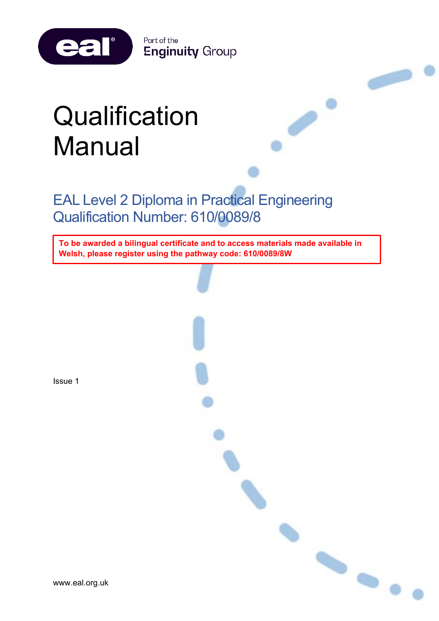

# **Qualification** Manual

EAL Level 2 Diploma in Practical Engineering Qualification Number: 610/0089/8

**To be awarded a bilingual certificate and to access materials made available in Welsh, please register using the pathway code: 610/0089/8W**

 $\bullet$ 

Issue 1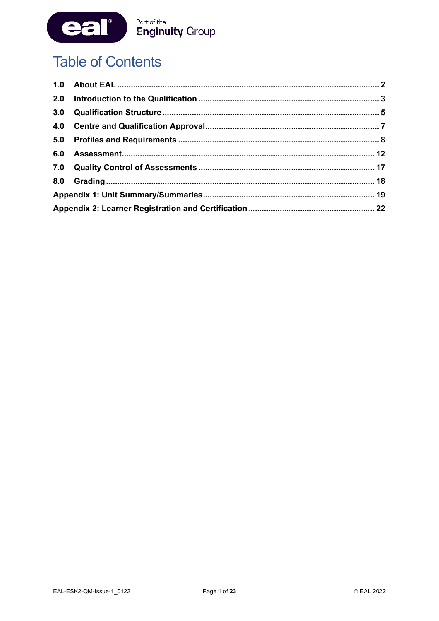

# **Table of Contents**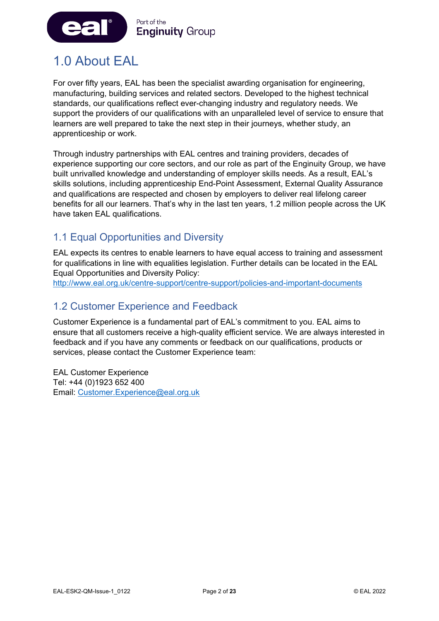

# <span id="page-2-0"></span>1.0 About EAL

For over fifty years, EAL has been the specialist awarding organisation for engineering, manufacturing, building services and related sectors. Developed to the highest technical standards, our qualifications reflect ever-changing industry and regulatory needs. We support the providers of our qualifications with an unparalleled level of service to ensure that learners are well prepared to take the next step in their journeys, whether study, an apprenticeship or work.

Through industry partnerships with EAL centres and training providers, decades of experience supporting our core sectors, and our role as part of the Enginuity Group, we have built unrivalled knowledge and understanding of employer skills needs. As a result, EAL's skills solutions, including apprenticeship End-Point Assessment, External Quality Assurance and qualifications are respected and chosen by employers to deliver real lifelong career benefits for all our learners. That's why in the last ten years, 1.2 million people across the UK have taken EAL qualifications.

# 1.1 Equal Opportunities and Diversity

EAL expects its centres to enable learners to have equal access to training and assessment for qualifications in line with equalities legislation. Further details can be located in the EAL Equal Opportunities and Diversity Policy:

<http://www.eal.org.uk/centre-support/centre-support/policies-and-important-documents>

# 1.2 Customer Experience and Feedback

Customer Experience is a fundamental part of EAL's commitment to you. EAL aims to ensure that all customers receive a high-quality efficient service. We are always interested in feedback and if you have any comments or feedback on our qualifications, products or services, please contact the Customer Experience team:

EAL Customer Experience Tel: +44 (0)1923 652 400 Email: [Customer.Experience@eal.org.uk](mailto:EAL%20Customer%20Experience%20%3cCustomer.Experience@eal.org.uk%3e)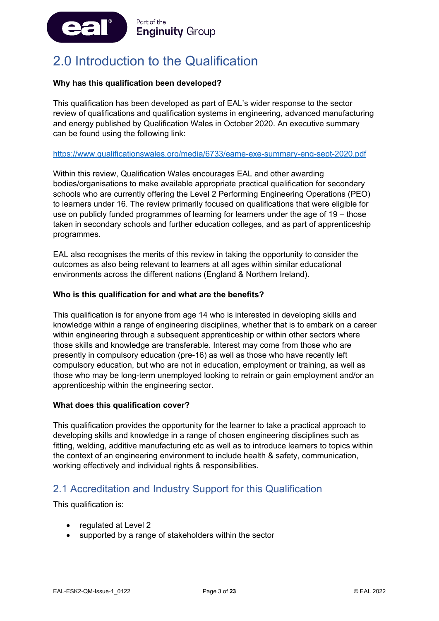

# <span id="page-3-0"></span>2.0 Introduction to the Qualification

#### **Why has this qualification been developed?**

This qualification has been developed as part of EAL's wider response to the sector review of qualifications and qualification systems in engineering, advanced manufacturing and energy published by Qualification Wales in October 2020. An executive summary can be found using the following link:

#### <https://www.qualificationswales.org/media/6733/eame-exe-summary-eng-sept-2020.pdf>

Within this review, Qualification Wales encourages EAL and other awarding bodies/organisations to make available appropriate practical qualification for secondary schools who are currently offering the Level 2 Performing Engineering Operations (PEO) to learners under 16. The review primarily focused on qualifications that were eligible for use on publicly funded programmes of learning for learners under the age of 19 – those taken in secondary schools and further education colleges, and as part of apprenticeship programmes.

EAL also recognises the merits of this review in taking the opportunity to consider the outcomes as also being relevant to learners at all ages within similar educational environments across the different nations (England & Northern Ireland).

#### **Who is this qualification for and what are the benefits?**

This qualification is for anyone from age 14 who is interested in developing skills and knowledge within a range of engineering disciplines, whether that is to embark on a career within engineering through a subsequent apprenticeship or within other sectors where those skills and knowledge are transferable. Interest may come from those who are presently in compulsory education (pre-16) as well as those who have recently left compulsory education, but who are not in education, employment or training, as well as those who may be long-term unemployed looking to retrain or gain employment and/or an apprenticeship within the engineering sector.

#### **What does this qualification cover?**

This qualification provides the opportunity for the learner to take a practical approach to developing skills and knowledge in a range of chosen engineering disciplines such as fitting, welding, additive manufacturing etc as well as to introduce learners to topics within the context of an engineering environment to include health & safety, communication, working effectively and individual rights & responsibilities.

### 2.1 Accreditation and Industry Support for this Qualification

This qualification is:

- regulated at Level 2
- supported by a range of stakeholders within the sector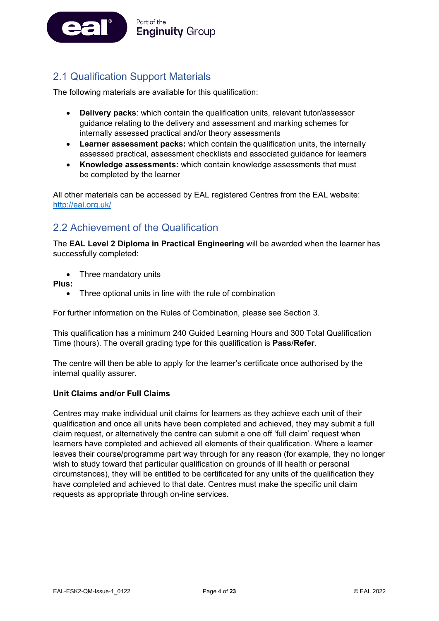

# 2.1 Qualification Support Materials

The following materials are available for this qualification:

- **Delivery packs**: which contain the qualification units, relevant tutor/assessor guidance relating to the delivery and assessment and marking schemes for internally assessed practical and/or theory assessments
- **Learner assessment packs:** which contain the qualification units, the internally assessed practical, assessment checklists and associated guidance for learners
- **Knowledge assessments:** which contain knowledge assessments that must be completed by the learner

All other materials can be accessed by EAL registered Centres from the EAL website: <http://eal.org.uk/>

### 2.2 Achievement of the Qualification

The **EAL Level 2 Diploma in Practical Engineering** will be awarded when the learner has successfully completed:

• Three mandatory units

**Plus:**

Three optional units in line with the rule of combination

For further information on the Rules of Combination, please see Section 3.

This qualification has a minimum 240 Guided Learning Hours and 300 Total Qualification Time (hours). The overall grading type for this qualification is **Pass**/**Refer**.

The centre will then be able to apply for the learner's certificate once authorised by the internal quality assurer.

#### **Unit Claims and/or Full Claims**

Centres may make individual unit claims for learners as they achieve each unit of their qualification and once all units have been completed and achieved, they may submit a full claim request, or alternatively the centre can submit a one off 'full claim' request when learners have completed and achieved all elements of their qualification. Where a learner leaves their course/programme part way through for any reason (for example, they no longer wish to study toward that particular qualification on grounds of ill health or personal circumstances), they will be entitled to be certificated for any units of the qualification they have completed and achieved to that date. Centres must make the specific unit claim requests as appropriate through on-line services.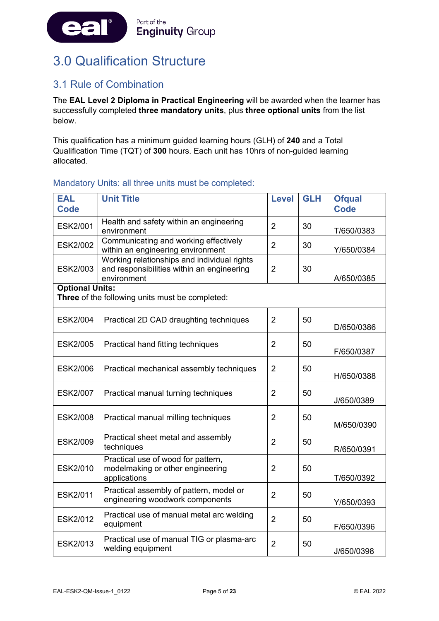

# <span id="page-5-0"></span>3.0 Qualification Structure

# 3.1 Rule of Combination

The **EAL Level 2 Diploma in Practical Engineering** will be awarded when the learner has successfully completed **three mandatory units**, plus **three optional units** from the list below.

This qualification has a minimum guided learning hours (GLH) of **240** and a Total Qualification Time (TQT) of **300** hours. Each unit has 10hrs of non-guided learning allocated.

#### Mandatory Units: all three units must be completed:

| <b>EAL</b><br><b>Code</b> | <b>Unit Title</b>                                                                                        | <b>Level</b>   | <b>GLH</b> | <b>Ofqual</b><br><b>Code</b> |
|---------------------------|----------------------------------------------------------------------------------------------------------|----------------|------------|------------------------------|
| <b>ESK2/001</b>           | Health and safety within an engineering<br>environment                                                   | $\overline{2}$ | 30         | T/650/0383                   |
| <b>ESK2/002</b>           | Communicating and working effectively<br>within an engineering environment                               | $\overline{2}$ | 30         | Y/650/0384                   |
| <b>ESK2/003</b>           | Working relationships and individual rights<br>and responsibilities within an engineering<br>environment | $\overline{2}$ | 30         | A/650/0385                   |
| <b>Optional Units:</b>    | Three of the following units must be completed:                                                          |                |            |                              |
| <b>ESK2/004</b>           | Practical 2D CAD draughting techniques                                                                   | $\overline{2}$ | 50         | D/650/0386                   |
| <b>ESK2/005</b>           | Practical hand fitting techniques                                                                        | $\overline{2}$ | 50         | F/650/0387                   |
| <b>ESK2/006</b>           | Practical mechanical assembly techniques                                                                 | $\overline{2}$ | 50         | H/650/0388                   |
| <b>ESK2/007</b>           | Practical manual turning techniques                                                                      | $\overline{2}$ | 50         | J/650/0389                   |
| <b>ESK2/008</b>           | Practical manual milling techniques                                                                      | $\overline{2}$ | 50         | M/650/0390                   |
| <b>ESK2/009</b>           | Practical sheet metal and assembly<br>techniques                                                         | $\overline{2}$ | 50         | R/650/0391                   |
| <b>ESK2/010</b>           | Practical use of wood for pattern,<br>modelmaking or other engineering<br>applications                   | $\overline{2}$ | 50         | T/650/0392                   |
| ESK2/011                  | Practical assembly of pattern, model or<br>engineering woodwork components                               | $\overline{2}$ | 50         | Y/650/0393                   |
| <b>ESK2/012</b>           | Practical use of manual metal arc welding<br>equipment                                                   | $\overline{2}$ | 50         | F/650/0396                   |
| ESK2/013                  | Practical use of manual TIG or plasma-arc<br>welding equipment                                           | $\overline{2}$ | 50         | J/650/0398                   |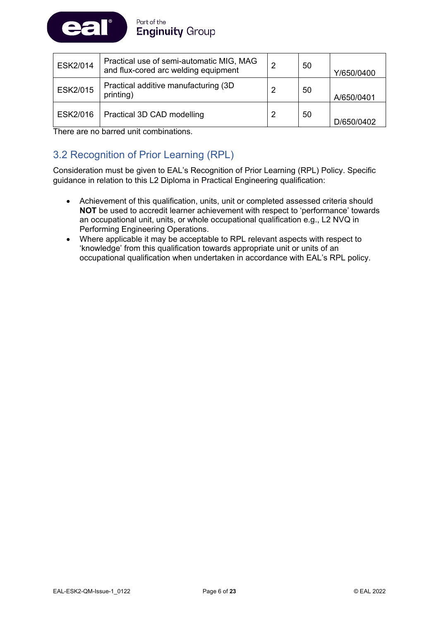

| ESK2/014        | Practical use of semi-automatic MIG, MAG<br>and flux-cored arc welding equipment | 2 | 50 | Y/650/0400 |
|-----------------|----------------------------------------------------------------------------------|---|----|------------|
| <b>ESK2/015</b> | Practical additive manufacturing (3D)<br>printing)                               | 2 | 50 | A/650/0401 |
| ESK2/016        | Practical 3D CAD modelling                                                       |   | 50 | D/650/0402 |

There are no barred unit combinations.

# 3.2 Recognition of Prior Learning (RPL)

Consideration must be given to EAL's Recognition of Prior Learning (RPL) Policy. Specific guidance in relation to this L2 Diploma in Practical Engineering qualification:

- Achievement of this qualification, units, unit or completed assessed criteria should **NOT** be used to accredit learner achievement with respect to 'performance' towards an occupational unit, units, or whole occupational qualification e.g., L2 NVQ in Performing Engineering Operations.
- Where applicable it may be acceptable to RPL relevant aspects with respect to 'knowledge' from this qualification towards appropriate unit or units of an occupational qualification when undertaken in accordance with EAL's RPL policy.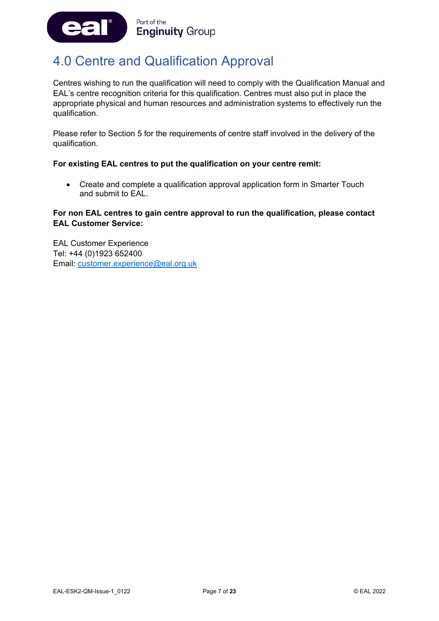

# <span id="page-7-0"></span>4.0 Centre and Qualification Approval

Centres wishing to run the qualification will need to comply with the Qualification Manual and EAL's centre recognition criteria for this qualification. Centres must also put in place the appropriate physical and human resources and administration systems to effectively run the qualification.

Please refer to Section 5 for the requirements of centre staff involved in the delivery of the qualification.

#### **For existing EAL centres to put the qualification on your centre remit:**

• Create and complete a qualification approval application form in Smarter Touch and submit to EAL.

#### **For non EAL centres to gain centre approval to run the qualification, please contact EAL Customer Service:**

EAL Customer Experience Tel: +44 (0)1923 652400 Email: [customer.experience@eal.org.uk](mailto:customer.experience@eal.org.uk)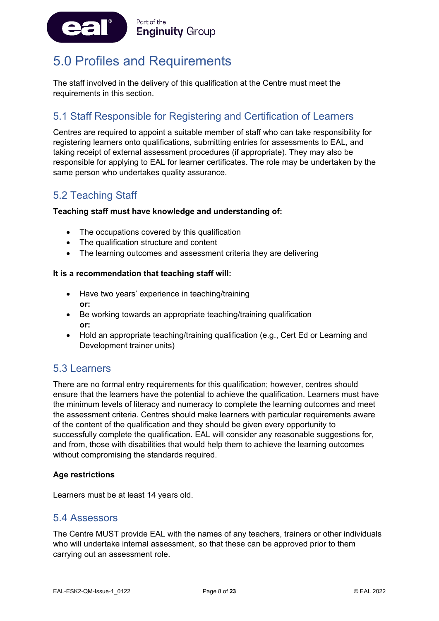

# <span id="page-8-0"></span>5.0 Profiles and Requirements

The staff involved in the delivery of this qualification at the Centre must meet the requirements in this section.

# 5.1 Staff Responsible for Registering and Certification of Learners

Centres are required to appoint a suitable member of staff who can take responsibility for registering learners onto qualifications, submitting entries for assessments to EAL, and taking receipt of external assessment procedures (if appropriate). They may also be responsible for applying to EAL for learner certificates. The role may be undertaken by the same person who undertakes quality assurance.

### 5.2 Teaching Staff

#### **Teaching staff must have knowledge and understanding of:**

- The occupations covered by this qualification
- The qualification structure and content
- The learning outcomes and assessment criteria they are delivering

#### **It is a recommendation that teaching staff will:**

- Have two years' experience in teaching/training **or:**
- Be working towards an appropriate teaching/training qualification **or:**
- Hold an appropriate teaching/training qualification (e.g., Cert Ed or Learning and Development trainer units)

### 5.3 Learners

There are no formal entry requirements for this qualification; however, centres should ensure that the learners have the potential to achieve the qualification. Learners must have the minimum levels of literacy and numeracy to complete the learning outcomes and meet the assessment criteria. Centres should make learners with particular requirements aware of the content of the qualification and they should be given every opportunity to successfully complete the qualification. EAL will consider any reasonable suggestions for, and from, those with disabilities that would help them to achieve the learning outcomes without compromising the standards required.

#### **Age restrictions**

Learners must be at least 14 years old.

### 5.4 Assessors

The Centre MUST provide EAL with the names of any teachers, trainers or other individuals who will undertake internal assessment, so that these can be approved prior to them carrying out an assessment role.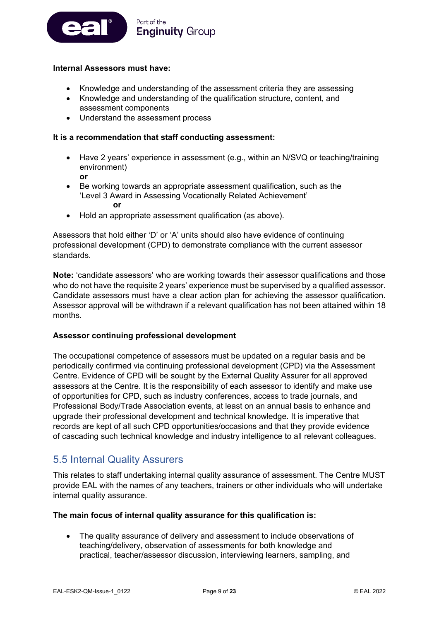

#### **Internal Assessors must have:**

- Knowledge and understanding of the assessment criteria they are assessing
- Knowledge and understanding of the qualification structure, content, and assessment components
- Understand the assessment process

#### **It is a recommendation that staff conducting assessment:**

- Have 2 years' experience in assessment (e.g., within an N/SVQ or teaching/training environment)
	- **or**
- Be working towards an appropriate assessment qualification, such as the 'Level 3 Award in Assessing Vocationally Related Achievement' **or**
- Hold an appropriate assessment qualification (as above).

Assessors that hold either 'D' or 'A' units should also have evidence of continuing professional development (CPD) to demonstrate compliance with the current assessor standards.

**Note:** 'candidate assessors' who are working towards their assessor qualifications and those who do not have the requisite 2 years' experience must be supervised by a qualified assessor. Candidate assessors must have a clear action plan for achieving the assessor qualification. Assessor approval will be withdrawn if a relevant qualification has not been attained within 18 months.

#### **Assessor continuing professional development**

The occupational competence of assessors must be updated on a regular basis and be periodically confirmed via continuing professional development (CPD) via the Assessment Centre. Evidence of CPD will be sought by the External Quality Assurer for all approved assessors at the Centre. It is the responsibility of each assessor to identify and make use of opportunities for CPD, such as industry conferences, access to trade journals, and Professional Body/Trade Association events, at least on an annual basis to enhance and upgrade their professional development and technical knowledge. It is imperative that records are kept of all such CPD opportunities/occasions and that they provide evidence of cascading such technical knowledge and industry intelligence to all relevant colleagues.

### 5.5 Internal Quality Assurers

This relates to staff undertaking internal quality assurance of assessment. The Centre MUST provide EAL with the names of any teachers, trainers or other individuals who will undertake internal quality assurance.

#### **The main focus of internal quality assurance for this qualification is:**

• The quality assurance of delivery and assessment to include observations of teaching/delivery, observation of assessments for both knowledge and practical, teacher/assessor discussion, interviewing learners, sampling, and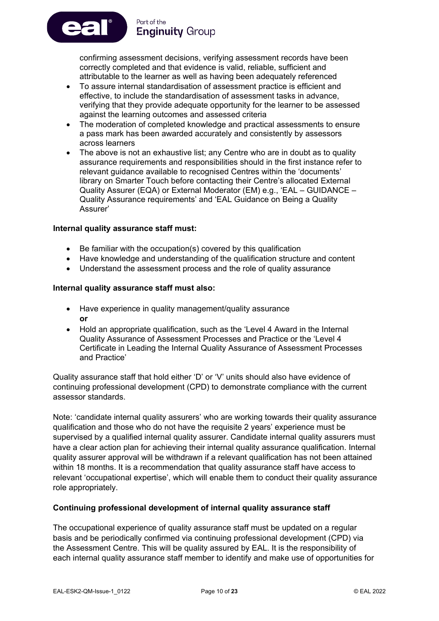confirming assessment decisions, verifying assessment records have been correctly completed and that evidence is valid, reliable, sufficient and attributable to the learner as well as having been adequately referenced

- To assure internal standardisation of assessment practice is efficient and effective, to include the standardisation of assessment tasks in advance, verifying that they provide adequate opportunity for the learner to be assessed against the learning outcomes and assessed criteria
- The moderation of completed knowledge and practical assessments to ensure a pass mark has been awarded accurately and consistently by assessors across learners
- The above is not an exhaustive list; any Centre who are in doubt as to quality assurance requirements and responsibilities should in the first instance refer to relevant guidance available to recognised Centres within the 'documents' library on Smarter Touch before contacting their Centre's allocated External Quality Assurer (EQA) or External Moderator (EM) e.g., 'EAL – GUIDANCE – Quality Assurance requirements' and 'EAL Guidance on Being a Quality Assurer'

#### **Internal quality assurance staff must:**

Part of the

**Enginuity Group** 

- Be familiar with the occupation(s) covered by this qualification
- Have knowledge and understanding of the qualification structure and content
- Understand the assessment process and the role of quality assurance

#### **Internal quality assurance staff must also:**

- Have experience in quality management/quality assurance **or**
- Hold an appropriate qualification, such as the 'Level 4 Award in the Internal Quality Assurance of Assessment Processes and Practice or the 'Level 4 Certificate in Leading the Internal Quality Assurance of Assessment Processes and Practice'

Quality assurance staff that hold either 'D' or 'V' units should also have evidence of continuing professional development (CPD) to demonstrate compliance with the current assessor standards.

Note: 'candidate internal quality assurers' who are working towards their quality assurance qualification and those who do not have the requisite 2 years' experience must be supervised by a qualified internal quality assurer. Candidate internal quality assurers must have a clear action plan for achieving their internal quality assurance qualification. Internal quality assurer approval will be withdrawn if a relevant qualification has not been attained within 18 months. It is a recommendation that quality assurance staff have access to relevant 'occupational expertise', which will enable them to conduct their quality assurance role appropriately.

#### **Continuing professional development of internal quality assurance staff**

The occupational experience of quality assurance staff must be updated on a regular basis and be periodically confirmed via continuing professional development (CPD) via the Assessment Centre. This will be quality assured by EAL. It is the responsibility of each internal quality assurance staff member to identify and make use of opportunities for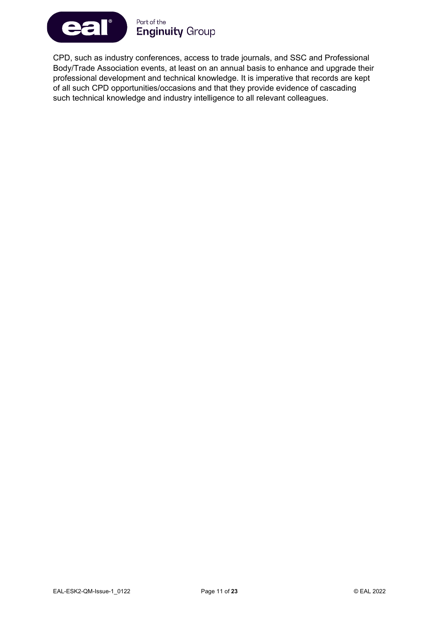

CPD, such as industry conferences, access to trade journals, and SSC and Professional Body/Trade Association events, at least on an annual basis to enhance and upgrade their professional development and technical knowledge. It is imperative that records are kept of all such CPD opportunities/occasions and that they provide evidence of cascading such technical knowledge and industry intelligence to all relevant colleagues.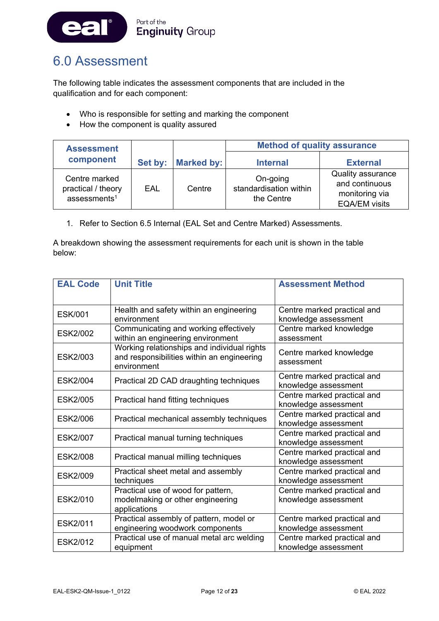

# <span id="page-12-0"></span>6.0 Assessment

The following table indicates the assessment components that are included in the qualification and for each component:

- Who is responsible for setting and marking the component
- How the component is quality assured

| <b>Assessment</b>                                               |     |                    | <b>Method of quality assurance</b>               |                                                                               |  |
|-----------------------------------------------------------------|-----|--------------------|--------------------------------------------------|-------------------------------------------------------------------------------|--|
| component                                                       |     | Set by: Marked by: | <b>Internal</b>                                  | <b>External</b>                                                               |  |
| Centre marked<br>practical / theory<br>assessments <sup>1</sup> | EAL | Centre             | On-going<br>standardisation within<br>the Centre | Quality assurance<br>and continuous<br>monitoring via<br><b>EQA/EM visits</b> |  |

1. Refer to Section 6.5 Internal (EAL Set and Centre Marked) Assessments.

A breakdown showing the assessment requirements for each unit is shown in the table below:

| <b>EAL Code</b> | <b>Unit Title</b>                                                                                        | <b>Assessment Method</b>                            |
|-----------------|----------------------------------------------------------------------------------------------------------|-----------------------------------------------------|
| <b>ESK/001</b>  | Health and safety within an engineering<br>environment                                                   | Centre marked practical and<br>knowledge assessment |
| <b>ESK2/002</b> | Communicating and working effectively<br>within an engineering environment                               | Centre marked knowledge<br>assessment               |
| <b>ESK2/003</b> | Working relationships and individual rights<br>and responsibilities within an engineering<br>environment | Centre marked knowledge<br>assessment               |
| <b>ESK2/004</b> | Practical 2D CAD draughting techniques                                                                   | Centre marked practical and<br>knowledge assessment |
| <b>ESK2/005</b> | Practical hand fitting techniques                                                                        | Centre marked practical and<br>knowledge assessment |
| <b>ESK2/006</b> | Practical mechanical assembly techniques                                                                 | Centre marked practical and<br>knowledge assessment |
| <b>ESK2/007</b> | Practical manual turning techniques                                                                      | Centre marked practical and<br>knowledge assessment |
| <b>ESK2/008</b> | Practical manual milling techniques                                                                      | Centre marked practical and<br>knowledge assessment |
| <b>ESK2/009</b> | Practical sheet metal and assembly<br>techniques                                                         | Centre marked practical and<br>knowledge assessment |
| ESK2/010        | Practical use of wood for pattern,<br>modelmaking or other engineering<br>applications                   | Centre marked practical and<br>knowledge assessment |
| ESK2/011        | Practical assembly of pattern, model or<br>engineering woodwork components                               | Centre marked practical and<br>knowledge assessment |
| <b>ESK2/012</b> | Practical use of manual metal arc welding<br>equipment                                                   | Centre marked practical and<br>knowledge assessment |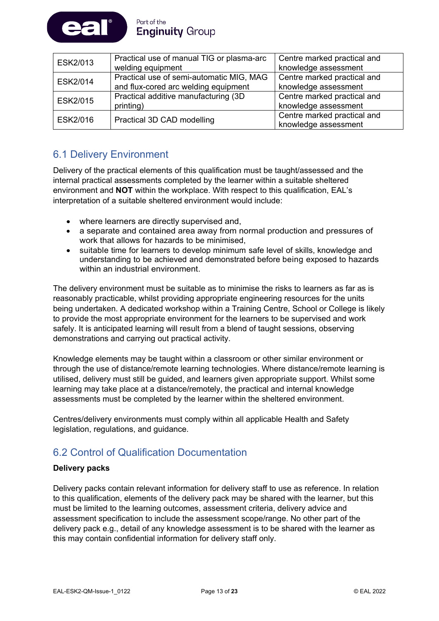

| ESK2/013 | Practical use of manual TIG or plasma-arc | Centre marked practical and |
|----------|-------------------------------------------|-----------------------------|
|          | welding equipment                         | knowledge assessment        |
| ESK2/014 | Practical use of semi-automatic MIG, MAG  | Centre marked practical and |
|          | and flux-cored arc welding equipment      | knowledge assessment        |
| ESK2/015 | Practical additive manufacturing (3D)     | Centre marked practical and |
|          | printing)                                 | knowledge assessment        |
| ESK2/016 | Practical 3D CAD modelling                | Centre marked practical and |
|          |                                           | knowledge assessment        |

# 6.1 Delivery Environment

Delivery of the practical elements of this qualification must be taught/assessed and the internal practical assessments completed by the learner within a suitable sheltered environment and **NOT** within the workplace. With respect to this qualification, EAL's interpretation of a suitable sheltered environment would include:

- where learners are directly supervised and,
- a separate and contained area away from normal production and pressures of work that allows for hazards to be minimised,
- suitable time for learners to develop minimum safe level of skills, knowledge and understanding to be achieved and demonstrated before being exposed to hazards within an industrial environment.

The delivery environment must be suitable as to minimise the risks to learners as far as is reasonably practicable, whilst providing appropriate engineering resources for the units being undertaken. A dedicated workshop within a Training Centre, School or College is likely to provide the most appropriate environment for the learners to be supervised and work safely. It is anticipated learning will result from a blend of taught sessions, observing demonstrations and carrying out practical activity.

Knowledge elements may be taught within a classroom or other similar environment or through the use of distance/remote learning technologies. Where distance/remote learning is utilised, delivery must still be guided, and learners given appropriate support. Whilst some learning may take place at a distance/remotely, the practical and internal knowledge assessments must be completed by the learner within the sheltered environment.

Centres/delivery environments must comply within all applicable Health and Safety legislation, regulations, and guidance.

# 6.2 Control of Qualification Documentation

#### **Delivery packs**

Delivery packs contain relevant information for delivery staff to use as reference. In relation to this qualification, elements of the delivery pack may be shared with the learner, but this must be limited to the learning outcomes, assessment criteria, delivery advice and assessment specification to include the assessment scope/range. No other part of the delivery pack e.g., detail of any knowledge assessment is to be shared with the learner as this may contain confidential information for delivery staff only.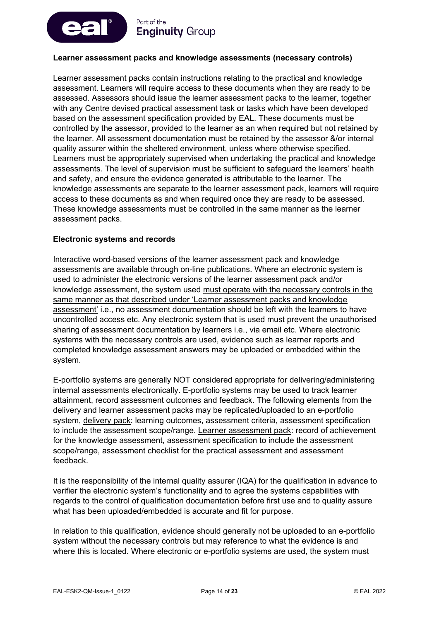

#### **Learner assessment packs and knowledge assessments (necessary controls)**

Learner assessment packs contain instructions relating to the practical and knowledge assessment. Learners will require access to these documents when they are ready to be assessed. Assessors should issue the learner assessment packs to the learner, together with any Centre devised practical assessment task or tasks which have been developed based on the assessment specification provided by EAL. These documents must be controlled by the assessor, provided to the learner as an when required but not retained by the learner. All assessment documentation must be retained by the assessor &/or internal quality assurer within the sheltered environment, unless where otherwise specified. Learners must be appropriately supervised when undertaking the practical and knowledge assessments. The level of supervision must be sufficient to safeguard the learners' health and safety, and ensure the evidence generated is attributable to the learner. The knowledge assessments are separate to the learner assessment pack, learners will require access to these documents as and when required once they are ready to be assessed. These knowledge assessments must be controlled in the same manner as the learner assessment packs.

#### **Electronic systems and records**

Interactive word-based versions of the learner assessment pack and knowledge assessments are available through on-line publications. Where an electronic system is used to administer the electronic versions of the learner assessment pack and/or knowledge assessment, the system used must operate with the necessary controls in the same manner as that described under 'Learner assessment packs and knowledge assessment' i.e., no assessment documentation should be left with the learners to have uncontrolled access etc. Any electronic system that is used must prevent the unauthorised sharing of assessment documentation by learners i.e., via email etc. Where electronic systems with the necessary controls are used, evidence such as learner reports and completed knowledge assessment answers may be uploaded or embedded within the system.

E-portfolio systems are generally NOT considered appropriate for delivering/administering internal assessments electronically. E-portfolio systems may be used to track learner attainment, record assessment outcomes and feedback. The following elements from the delivery and learner assessment packs may be replicated/uploaded to an e-portfolio system, delivery pack: learning outcomes, assessment criteria, assessment specification to include the assessment scope/range. Learner assessment pack: record of achievement for the knowledge assessment, assessment specification to include the assessment scope/range, assessment checklist for the practical assessment and assessment feedback.

It is the responsibility of the internal quality assurer (IQA) for the qualification in advance to verifier the electronic system's functionality and to agree the systems capabilities with regards to the control of qualification documentation before first use and to quality assure what has been uploaded/embedded is accurate and fit for purpose.

In relation to this qualification, evidence should generally not be uploaded to an e-portfolio system without the necessary controls but may reference to what the evidence is and where this is located. Where electronic or e-portfolio systems are used, the system must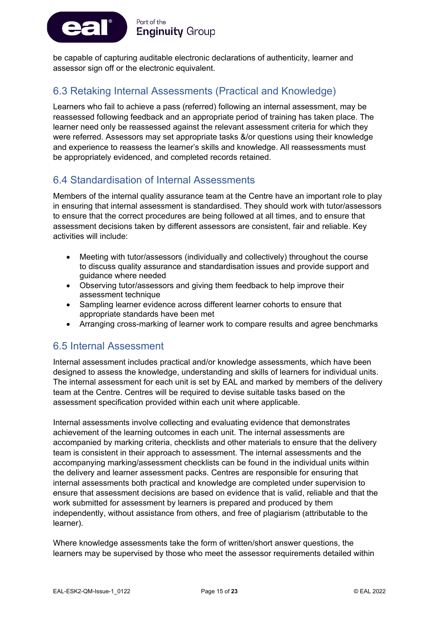

be capable of capturing auditable electronic declarations of authenticity, learner and assessor sign off or the electronic equivalent.

### 6.3 Retaking Internal Assessments (Practical and Knowledge)

Learners who fail to achieve a pass (referred) following an internal assessment, may be reassessed following feedback and an appropriate period of training has taken place. The learner need only be reassessed against the relevant assessment criteria for which they were referred. Assessors may set appropriate tasks &/or questions using their knowledge and experience to reassess the learner's skills and knowledge. All reassessments must be appropriately evidenced, and completed records retained.

# 6.4 Standardisation of Internal Assessments

Members of the internal quality assurance team at the Centre have an important role to play in ensuring that internal assessment is standardised. They should work with tutor/assessors to ensure that the correct procedures are being followed at all times, and to ensure that assessment decisions taken by different assessors are consistent, fair and reliable. Key activities will include:

- Meeting with tutor/assessors (individually and collectively) throughout the course to discuss quality assurance and standardisation issues and provide support and guidance where needed
- Observing tutor/assessors and giving them feedback to help improve their assessment technique
- Sampling learner evidence across different learner cohorts to ensure that appropriate standards have been met
- Arranging cross-marking of learner work to compare results and agree benchmarks

### 6.5 Internal Assessment

Internal assessment includes practical and/or knowledge assessments, which have been designed to assess the knowledge, understanding and skills of learners for individual units. The internal assessment for each unit is set by EAL and marked by members of the delivery team at the Centre. Centres will be required to devise suitable tasks based on the assessment specification provided within each unit where applicable.

Internal assessments involve collecting and evaluating evidence that demonstrates achievement of the learning outcomes in each unit. The internal assessments are accompanied by marking criteria, checklists and other materials to ensure that the delivery team is consistent in their approach to assessment. The internal assessments and the accompanying marking/assessment checklists can be found in the individual units within the delivery and learner assessment packs. Centres are responsible for ensuring that internal assessments both practical and knowledge are completed under supervision to ensure that assessment decisions are based on evidence that is valid, reliable and that the work submitted for assessment by learners is prepared and produced by them independently, without assistance from others, and free of plagiarism (attributable to the learner).

Where knowledge assessments take the form of written/short answer questions, the learners may be supervised by those who meet the assessor requirements detailed within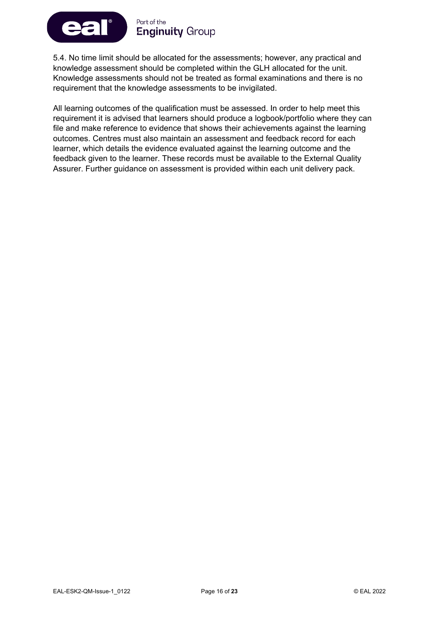

5.4. No time limit should be allocated for the assessments; however, any practical and knowledge assessment should be completed within the GLH allocated for the unit. Knowledge assessments should not be treated as formal examinations and there is no requirement that the knowledge assessments to be invigilated.

All learning outcomes of the qualification must be assessed. In order to help meet this requirement it is advised that learners should produce a logbook/portfolio where they can file and make reference to evidence that shows their achievements against the learning outcomes. Centres must also maintain an assessment and feedback record for each learner, which details the evidence evaluated against the learning outcome and the feedback given to the learner. These records must be available to the External Quality Assurer. Further guidance on assessment is provided within each unit delivery pack.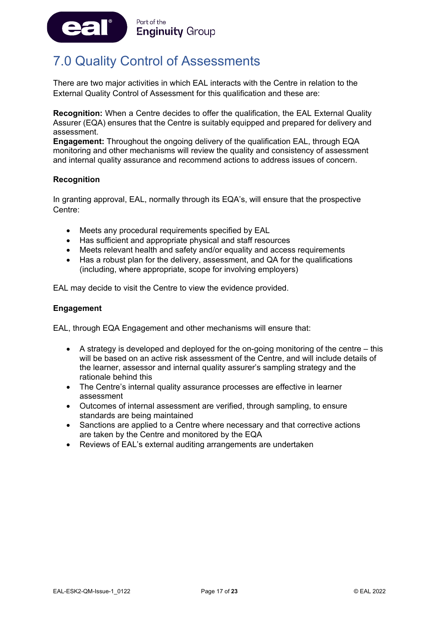

# <span id="page-17-0"></span>7.0 Quality Control of Assessments

There are two major activities in which EAL interacts with the Centre in relation to the External Quality Control of Assessment for this qualification and these are:

**Recognition:** When a Centre decides to offer the qualification, the EAL External Quality Assurer (EQA) ensures that the Centre is suitably equipped and prepared for delivery and assessment.

**Engagement:** Throughout the ongoing delivery of the qualification EAL, through EQA monitoring and other mechanisms will review the quality and consistency of assessment and internal quality assurance and recommend actions to address issues of concern.

#### **Recognition**

In granting approval, EAL, normally through its EQA's, will ensure that the prospective Centre:

- Meets any procedural requirements specified by EAL
- Has sufficient and appropriate physical and staff resources
- Meets relevant health and safety and/or equality and access requirements
- Has a robust plan for the delivery, assessment, and QA for the qualifications (including, where appropriate, scope for involving employers)

EAL may decide to visit the Centre to view the evidence provided.

#### **Engagement**

EAL, through EQA Engagement and other mechanisms will ensure that:

- A strategy is developed and deployed for the on-going monitoring of the centre this will be based on an active risk assessment of the Centre, and will include details of the learner, assessor and internal quality assurer's sampling strategy and the rationale behind this
- The Centre's internal quality assurance processes are effective in learner assessment
- Outcomes of internal assessment are verified, through sampling, to ensure standards are being maintained
- Sanctions are applied to a Centre where necessary and that corrective actions are taken by the Centre and monitored by the EQA
- Reviews of EAL's external auditing arrangements are undertaken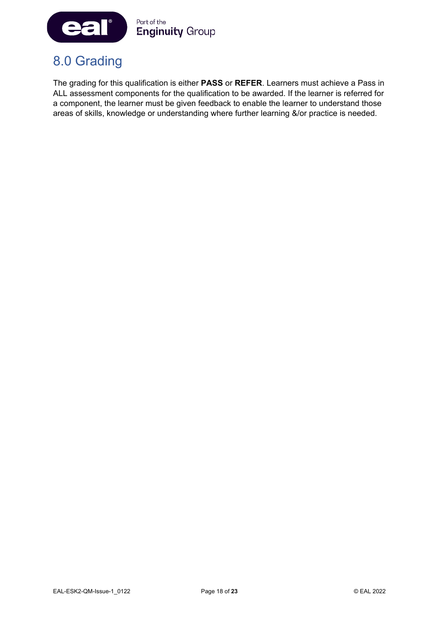

# <span id="page-18-0"></span>8.0 Grading

The grading for this qualification is either **PASS** or **REFER**. Learners must achieve a Pass in ALL assessment components for the qualification to be awarded. If the learner is referred for a component, the learner must be given feedback to enable the learner to understand those areas of skills, knowledge or understanding where further learning &/or practice is needed.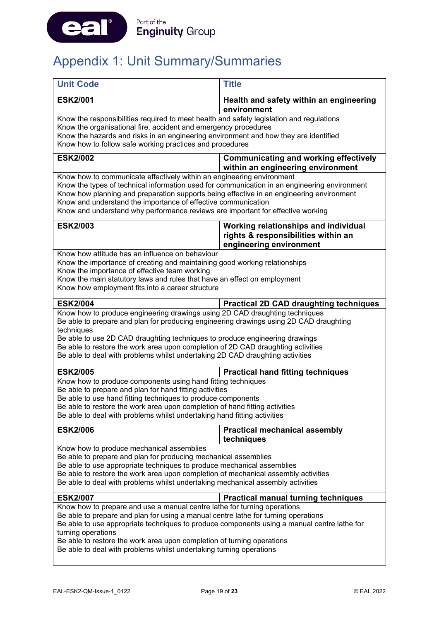

# <span id="page-19-0"></span>Appendix 1: Unit Summary/Summaries

| <b>Unit Code</b>                                                                                                                                                                         | <b>Title</b>                                                                      |  |  |  |
|------------------------------------------------------------------------------------------------------------------------------------------------------------------------------------------|-----------------------------------------------------------------------------------|--|--|--|
| <b>ESK2/001</b>                                                                                                                                                                          | Health and safety within an engineering<br>environment                            |  |  |  |
| Know the responsibilities required to meet health and safety legislation and regulations                                                                                                 |                                                                                   |  |  |  |
| Know the organisational fire, accident and emergency procedures<br>Know the hazards and risks in an engineering environment and how they are identified                                  |                                                                                   |  |  |  |
| Know how to follow safe working practices and procedures                                                                                                                                 |                                                                                   |  |  |  |
| <b>ESK2/002</b>                                                                                                                                                                          | <b>Communicating and working effectively</b><br>within an engineering environment |  |  |  |
| Know how to communicate effectively within an engineering environment                                                                                                                    |                                                                                   |  |  |  |
| Know the types of technical information used for communication in an engineering environment<br>Know how planning and preparation supports being effective in an engineering environment |                                                                                   |  |  |  |
| Know and understand the importance of effective communication                                                                                                                            |                                                                                   |  |  |  |
| Know and understand why performance reviews are important for effective working                                                                                                          |                                                                                   |  |  |  |
| <b>ESK2/003</b>                                                                                                                                                                          | Working relationships and individual                                              |  |  |  |
|                                                                                                                                                                                          | rights & responsibilities within an<br>engineering environment                    |  |  |  |
| Know how attitude has an influence on behaviour                                                                                                                                          |                                                                                   |  |  |  |
| Know the importance of creating and maintaining good working relationships                                                                                                               |                                                                                   |  |  |  |
| Know the importance of effective team working<br>Know the main statutory laws and rules that have an effect on employment                                                                |                                                                                   |  |  |  |
| Know how employment fits into a career structure                                                                                                                                         |                                                                                   |  |  |  |
| <b>ESK2/004</b>                                                                                                                                                                          | <b>Practical 2D CAD draughting techniques</b>                                     |  |  |  |
| Know how to produce engineering drawings using 2D CAD draughting techniques                                                                                                              |                                                                                   |  |  |  |
| Be able to prepare and plan for producing engineering drawings using 2D CAD draughting<br>techniques                                                                                     |                                                                                   |  |  |  |
| Be able to use 2D CAD draughting techniques to produce engineering drawings                                                                                                              |                                                                                   |  |  |  |
| Be able to restore the work area upon completion of 2D CAD draughting activities                                                                                                         |                                                                                   |  |  |  |
| Be able to deal with problems whilst undertaking 2D CAD draughting activities                                                                                                            |                                                                                   |  |  |  |
| <b>ESK2/005</b>                                                                                                                                                                          | <b>Practical hand fitting techniques</b>                                          |  |  |  |
| Know how to produce components using hand fitting techniques<br>Be able to prepare and plan for hand fitting activities                                                                  |                                                                                   |  |  |  |
| Be able to use hand fitting techniques to produce components                                                                                                                             |                                                                                   |  |  |  |
| Be able to restore the work area upon completion of hand fitting activities                                                                                                              |                                                                                   |  |  |  |
| Be able to deal with problems whilst undertaking hand fitting activities                                                                                                                 |                                                                                   |  |  |  |
| <b>ESK2/006</b>                                                                                                                                                                          | <b>Practical mechanical assembly</b><br>techniques                                |  |  |  |
| Know how to produce mechanical assemblies                                                                                                                                                |                                                                                   |  |  |  |
| Be able to prepare and plan for producing mechanical assemblies                                                                                                                          |                                                                                   |  |  |  |
| Be able to use appropriate techniques to produce mechanical assemblies<br>Be able to restore the work area upon completion of mechanical assembly activities                             |                                                                                   |  |  |  |
| Be able to deal with problems whilst undertaking mechanical assembly activities                                                                                                          |                                                                                   |  |  |  |
| <b>ESK2/007</b>                                                                                                                                                                          | <b>Practical manual turning techniques</b>                                        |  |  |  |
| Know how to prepare and use a manual centre lathe for turning operations                                                                                                                 |                                                                                   |  |  |  |
| Be able to prepare and plan for using a manual centre lathe for turning operations                                                                                                       |                                                                                   |  |  |  |
| Be able to use appropriate techniques to produce components using a manual centre lathe for<br>turning operations                                                                        |                                                                                   |  |  |  |
| Be able to restore the work area upon completion of turning operations                                                                                                                   |                                                                                   |  |  |  |
| Be able to deal with problems whilst undertaking turning operations                                                                                                                      |                                                                                   |  |  |  |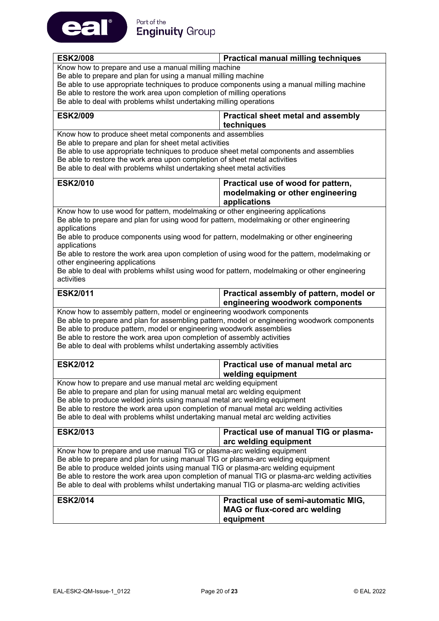

| <b>ESK2/008</b><br><b>Practical manual milling techniques</b>                                   |                                           |  |  |  |
|-------------------------------------------------------------------------------------------------|-------------------------------------------|--|--|--|
| Know how to prepare and use a manual milling machine                                            |                                           |  |  |  |
| Be able to prepare and plan for using a manual milling machine                                  |                                           |  |  |  |
| Be able to use appropriate techniques to produce components using a manual milling machine      |                                           |  |  |  |
| Be able to restore the work area upon completion of milling operations                          |                                           |  |  |  |
| Be able to deal with problems whilst undertaking milling operations                             |                                           |  |  |  |
| <b>ESK2/009</b>                                                                                 | <b>Practical sheet metal and assembly</b> |  |  |  |
|                                                                                                 | techniques                                |  |  |  |
| Know how to produce sheet metal components and assemblies                                       |                                           |  |  |  |
| Be able to prepare and plan for sheet metal activities                                          |                                           |  |  |  |
| Be able to use appropriate techniques to produce sheet metal components and assemblies          |                                           |  |  |  |
| Be able to restore the work area upon completion of sheet metal activities                      |                                           |  |  |  |
| Be able to deal with problems whilst undertaking sheet metal activities                         |                                           |  |  |  |
| <b>ESK2/010</b>                                                                                 | Practical use of wood for pattern,        |  |  |  |
|                                                                                                 | modelmaking or other engineering          |  |  |  |
|                                                                                                 | applications                              |  |  |  |
| Know how to use wood for pattern, modelmaking or other engineering applications                 |                                           |  |  |  |
| Be able to prepare and plan for using wood for pattern, modelmaking or other engineering        |                                           |  |  |  |
| applications                                                                                    |                                           |  |  |  |
| Be able to produce components using wood for pattern, modelmaking or other engineering          |                                           |  |  |  |
| applications                                                                                    |                                           |  |  |  |
| Be able to restore the work area upon completion of using wood for the pattern, modelmaking or  |                                           |  |  |  |
| other engineering applications                                                                  |                                           |  |  |  |
| Be able to deal with problems whilst using wood for pattern, modelmaking or other engineering   |                                           |  |  |  |
| activities                                                                                      |                                           |  |  |  |
|                                                                                                 |                                           |  |  |  |
| <b>ESK2/011</b>                                                                                 | Practical assembly of pattern, model or   |  |  |  |
|                                                                                                 |                                           |  |  |  |
|                                                                                                 | engineering woodwork components           |  |  |  |
| Know how to assembly pattern, model or engineering woodwork components                          |                                           |  |  |  |
| Be able to prepare and plan for assembling pattern, model or engineering woodwork components    |                                           |  |  |  |
| Be able to produce pattern, model or engineering woodwork assemblies                            |                                           |  |  |  |
| Be able to restore the work area upon completion of assembly activities                         |                                           |  |  |  |
| Be able to deal with problems whilst undertaking assembly activities                            |                                           |  |  |  |
| <b>ESK2/012</b>                                                                                 | Practical use of manual metal arc         |  |  |  |
|                                                                                                 | welding equipment                         |  |  |  |
| Know how to prepare and use manual metal arc welding equipment                                  |                                           |  |  |  |
| Be able to prepare and plan for using manual metal arc welding equipment                        |                                           |  |  |  |
| Be able to produce welded joints using manual metal arc welding equipment                       |                                           |  |  |  |
| Be able to restore the work area upon completion of manual metal arc welding activities         |                                           |  |  |  |
| Be able to deal with problems whilst undertaking manual metal arc welding activities            |                                           |  |  |  |
|                                                                                                 |                                           |  |  |  |
| <b>ESK2/013</b>                                                                                 | Practical use of manual TIG or plasma-    |  |  |  |
|                                                                                                 | arc welding equipment                     |  |  |  |
| Know how to prepare and use manual TIG or plasma-arc welding equipment                          |                                           |  |  |  |
| Be able to prepare and plan for using manual TIG or plasma-arc welding equipment                |                                           |  |  |  |
| Be able to produce welded joints using manual TIG or plasma-arc welding equipment               |                                           |  |  |  |
| Be able to restore the work area upon completion of manual TIG or plasma-arc welding activities |                                           |  |  |  |
| Be able to deal with problems whilst undertaking manual TIG or plasma-arc welding activities    |                                           |  |  |  |
|                                                                                                 |                                           |  |  |  |
| <b>ESK2/014</b>                                                                                 | Practical use of semi-automatic MIG,      |  |  |  |
|                                                                                                 | <b>MAG or flux-cored arc welding</b>      |  |  |  |
|                                                                                                 | equipment                                 |  |  |  |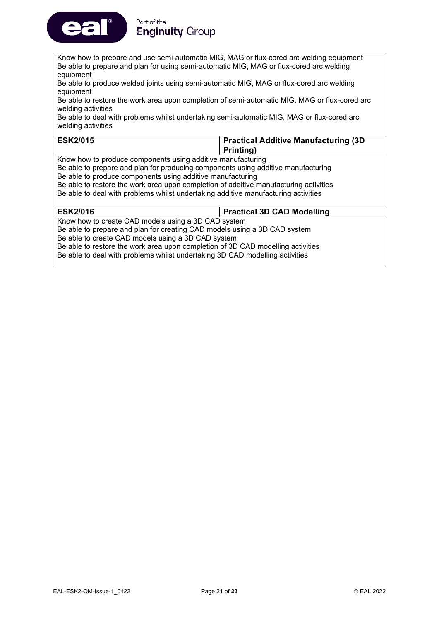

#### Part of the **Enginuity Group**

Know how to prepare and use semi-automatic MIG, MAG or flux-cored arc welding equipment Be able to prepare and plan for using semi-automatic MIG, MAG or flux-cored arc welding equipment

Be able to produce welded joints using semi-automatic MIG, MAG or flux-cored arc welding equipment

Be able to restore the work area upon completion of semi-automatic MIG, MAG or flux-cored arc welding activities

Be able to deal with problems whilst undertaking semi-automatic MIG, MAG or flux-cored arc welding activities

| <b>ESK2/015</b> | <b>Practical Additive Manufacturing (3D)</b> |
|-----------------|----------------------------------------------|
|                 | Printing)                                    |

Know how to produce components using additive manufacturing

Be able to prepare and plan for producing components using additive manufacturing

Be able to produce components using additive manufacturing

Be able to restore the work area upon completion of additive manufacturing activities Be able to deal with problems whilst undertaking additive manufacturing activities

| <b>ESK2/016</b>                                                                 | <b>Practical 3D CAD Modelling</b> |  |
|---------------------------------------------------------------------------------|-----------------------------------|--|
| Know how to create CAD models using a 3D CAD system                             |                                   |  |
| Be able to prepare and plan for creating CAD models using a 3D CAD system       |                                   |  |
| Be able to create CAD models using a 3D CAD system                              |                                   |  |
| Be able to restore the work area upon completion of 3D CAD modelling activities |                                   |  |
| Be able to deal with problems whilst undertaking 3D CAD modelling activities    |                                   |  |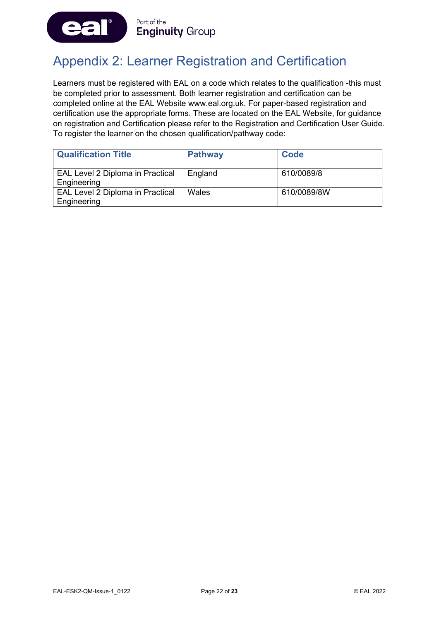

# <span id="page-22-0"></span>Appendix 2: Learner Registration and Certification

Learners must be registered with EAL on a code which relates to the qualification -this must be completed prior to assessment. Both learner registration and certification can be completed online at the EAL Website www.eal.org.uk. For paper-based registration and certification use the appropriate forms. These are located on the EAL Website, for guidance on registration and Certification please refer to the Registration and Certification User Guide. To register the learner on the chosen qualification/pathway code:

| <b>Qualification Title</b>                             | <b>Pathway</b> | <b>Code</b> |
|--------------------------------------------------------|----------------|-------------|
| EAL Level 2 Diploma in Practical<br>Engineering        | England        | 610/0089/8  |
| <b>EAL Level 2 Diploma in Practical</b><br>Engineering | Wales          | 610/0089/8W |